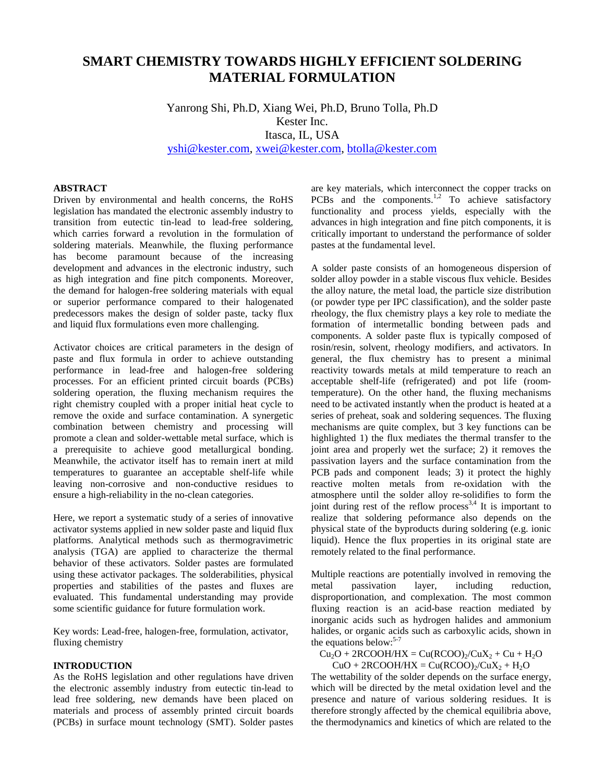# **SMART CHEMISTRY TOWARDS HIGHLY EFFICIENT SOLDERING MATERIAL FORMULATION**

Yanrong Shi, Ph.D, Xiang Wei, Ph.D, Bruno Tolla, Ph.D Kester Inc. Itasca, IL, USA [yshi@kester.com,](mailto:yshi@kester.com) [xwei@kester.com,](mailto:xwei@kester.com) [btolla@kester.com](mailto:btolla@kester.com)

## **ABSTRACT**

Driven by environmental and health concerns, the RoHS legislation has mandated the electronic assembly industry to transition from eutectic tin-lead to lead-free soldering, which carries forward a revolution in the formulation of soldering materials. Meanwhile, the fluxing performance has become paramount because of the increasing development and advances in the electronic industry, such as high integration and fine pitch components. Moreover, the demand for halogen-free soldering materials with equal or superior performance compared to their halogenated predecessors makes the design of solder paste, tacky flux and liquid flux formulations even more challenging.

Activator choices are critical parameters in the design of paste and flux formula in order to achieve outstanding performance in lead-free and halogen-free soldering processes. For an efficient printed circuit boards (PCBs) soldering operation, the fluxing mechanism requires the right chemistry coupled with a proper initial heat cycle to remove the oxide and surface contamination. A synergetic combination between chemistry and processing will promote a clean and solder-wettable metal surface, which is a prerequisite to achieve good metallurgical bonding. Meanwhile, the activator itself has to remain inert at mild temperatures to guarantee an acceptable shelf-life while leaving non-corrosive and non-conductive residues to ensure a high-reliability in the no-clean categories.

Here, we report a systematic study of a series of innovative activator systems applied in new solder paste and liquid flux platforms. Analytical methods such as thermogravimetric analysis (TGA) are applied to characterize the thermal behavior of these activators. Solder pastes are formulated using these activator packages. The solderabilities, physical properties and stabilities of the pastes and fluxes are evaluated. This fundamental understanding may provide some scientific guidance for future formulation work.

Key words: Lead-free, halogen-free, formulation, activator, fluxing chemistry

# **INTRODUCTION**

As the RoHS legislation and other regulations have driven the electronic assembly industry from eutectic tin-lead to lead free soldering, new demands have been placed on materials and process of assembly printed circuit boards (PCBs) in surface mount technology (SMT). Solder pastes

are key materials, which interconnect the copper tracks on PCBs and the components.<sup>1,2</sup> To achieve satisfactory functionality and process yields, especially with the advances in high integration and fine pitch components, it is critically important to understand the performance of solder pastes at the fundamental level.

A solder paste consists of an homogeneous dispersion of solder alloy powder in a stable viscous flux vehicle. Besides the alloy nature, the metal load, the particle size distribution (or powder type per IPC classification), and the solder paste rheology, the flux chemistry plays a key role to mediate the formation of intermetallic bonding between pads and components. A solder paste flux is typically composed of rosin/resin, solvent, rheology modifiers, and activators. In general, the flux chemistry has to present a minimal reactivity towards metals at mild temperature to reach an acceptable shelf-life (refrigerated) and pot life (roomtemperature). On the other hand, the fluxing mechanisms need to be activated instantly when the product is heated at a series of preheat, soak and soldering sequences. The fluxing mechanisms are quite complex, but 3 key functions can be highlighted 1) the flux mediates the thermal transfer to the joint area and properly wet the surface; 2) it removes the passivation layers and the surface contamination from the PCB pads and component leads; 3) it protect the highly reactive molten metals from re-oxidation with the atmosphere until the solder alloy re-solidifies to form the joint during rest of the reflow  $process<sup>3,4</sup>$  It is important to realize that soldering peformance also depends on the physical state of the byproducts during soldering (e.g. ionic liquid). Hence the flux properties in its original state are remotely related to the final performance.

Multiple reactions are potentially involved in removing the metal passivation layer. including reduction. metal passivation layer, including disproportionation, and complexation. The most common fluxing reaction is an acid-base reaction mediated by inorganic acids such as hydrogen halides and ammonium halides, or organic acids such as carboxylic acids, shown in the equations below: 5-7

 $Cu<sub>2</sub>O + 2RCOOH/HX = Cu(RCOO)<sub>2</sub>/CuX<sub>2</sub> + Cu + H<sub>2</sub>O$ 

 $CuO + 2RCOOH/HX = Cu(RCOO)/CuX<sub>2</sub> + H<sub>2</sub>O$ 

The wettability of the solder depends on the surface energy, which will be directed by the metal oxidation level and the presence and nature of various soldering residues. It is therefore strongly affected by the chemical equilibria above, the thermodynamics and kinetics of which are related to the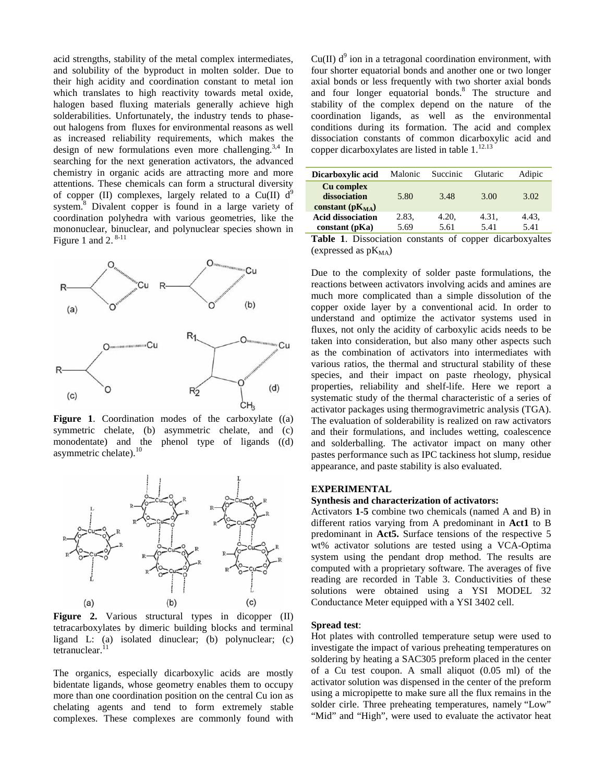acid strengths, stability of the metal complex intermediates, and solubility of the byproduct in molten solder. Due to their high acidity and coordination constant to metal ion which translates to high reactivity towards metal oxide, halogen based fluxing materials generally achieve high solderabilities. Unfortunately, the industry tends to phaseout halogens from fluxes for environmental reasons as well as increased reliability requirements, which makes the design of new formulations even more challenging.<sup>3,4</sup> In searching for the next generation activators, the advanced chemistry in organic acids are attracting more and more attentions. These chemicals can form a structural diversity of copper (II) complexes, largely related to a Cu(II)  $d^9$ system.<sup>8</sup> Divalent copper is found in a large variety of coordination polyhedra with various geometries, like the mononuclear, binuclear, and polynuclear species shown in Figure 1 and 2. $8-11$ 



**Figure 1**. Coordination modes of the carboxylate ((a) symmetric chelate, (b) asymmetric chelate, and (c) monodentate) and the phenol type of ligands ((d) asymmetric chelate).<sup>10</sup>



**Figure 2.** Various structural types in dicopper (II) tetracarboxylates by dimeric building blocks and terminal ligand L: (a) isolated dinuclear; (b) polynuclear; (c) tetranuclear. $^{11}$ 

The organics, especially dicarboxylic acids are mostly bidentate ligands, whose geometry enables them to occupy more than one coordination position on the central Cu ion as chelating agents and tend to form extremely stable complexes. These complexes are commonly found with

 $Cu(II)$  d<sup>9</sup> ion in a tetragonal coordination environment, with four shorter equatorial bonds and another one or two longer axial bonds or less frequently with two shorter axial bonds and four longer equatorial bonds.<sup>8</sup> The structure and stability of the complex depend on the nature of the coordination ligands, as well as the environmental conditions during its formation. The acid and complex dissociation constants of common dicarboxylic acid and copper dicarboxylates are listed in table  $1.^{12.13}$ 

| Dicarboxylic acid                                    | Malonic       | Succinic      | Glutaric      | Adipic        |
|------------------------------------------------------|---------------|---------------|---------------|---------------|
| Cu complex<br>dissociation<br>constant ( $pK_{MA}$ ) | 5.80          | 3.48          | 3.00          | 3.02          |
| <b>Acid dissociation</b><br>constant (pKa)           | 2.83.<br>5.69 | 4.20.<br>5.61 | 4.31,<br>5.41 | 4.43,<br>5.41 |

**Table 1**. Dissociation constants of copper dicarboxyaltes (expressed as  $pK_{MA}$ )

Due to the complexity of solder paste formulations, the reactions between activators involving acids and amines are much more complicated than a simple dissolution of the copper oxide layer by a conventional acid. In order to understand and optimize the activator systems used in fluxes, not only the acidity of carboxylic acids needs to be taken into consideration, but also many other aspects such as the combination of activators into intermediates with various ratios, the thermal and structural stability of these species, and their impact on paste rheology, physical properties, reliability and shelf-life. Here we report a systematic study of the thermal characteristic of a series of activator packages using thermogravimetric analysis (TGA). The evaluation of solderability is realized on raw activators and their formulations, and includes wetting, coalescence and solderballing. The activator impact on many other pastes performance such as IPC tackiness hot slump, residue appearance, and paste stability is also evaluated.

# **EXPERIMENTAL**

#### **Synthesis and characterization of activators:**

Activators **1-5** combine two chemicals (named A and B) in different ratios varying from A predominant in **Act1** to B predominant in **Act5.** Surface tensions of the respective 5 wt% activator solutions are tested using a VCA-Optima system using the pendant drop method. The results are computed with a proprietary software. The averages of five reading are recorded in Table 3. Conductivities of these solutions were obtained using a YSI MODEL 32 Conductance Meter equipped with a YSI 3402 cell.

### **Spread test**:

Hot plates with controlled temperature setup were used to investigate the impact of various preheating temperatures on soldering by heating a SAC305 preform placed in the center of a Cu test coupon. A small aliquot (0.05 ml) of the activator solution was dispensed in the center of the preform using a micropipette to make sure all the flux remains in the solder cirle. Three preheating temperatures, namely "Low" "Mid" and "High", were used to evaluate the activator heat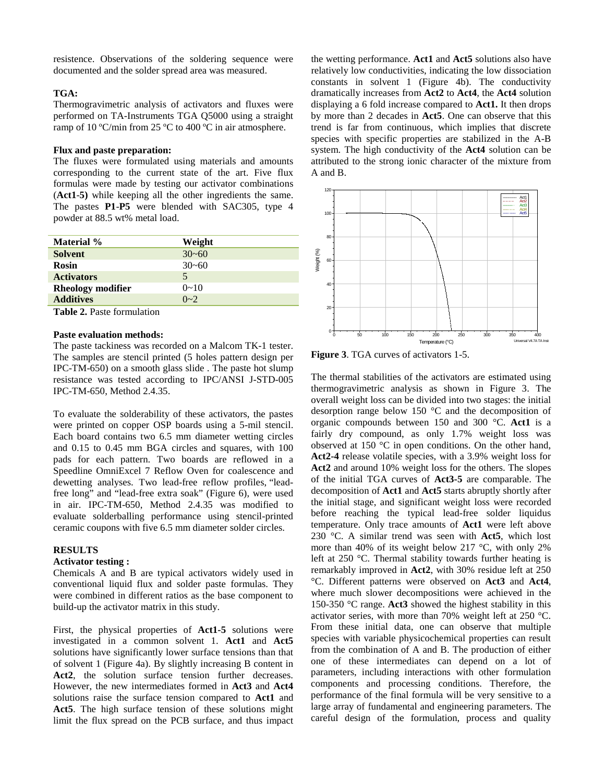resistence. Observations of the soldering sequence were documented and the solder spread area was measured.

# **TGA:**

Thermogravimetric analysis of activators and fluxes were performed on TA-Instruments TGA Q5000 using a straight ramp of 10 ºC/min from 25 ºC to 400 ºC in air atmosphere.

#### **Flux and paste preparation:**

The fluxes were formulated using materials and amounts corresponding to the current state of the art. Five flux formulas were made by testing our activator combinations (**Act1**-**5)** while keeping all the other ingredients the same. The pastes **P1**-**P5** were blended with SAC305, type 4 powder at 88.5 wt% metal load.

| <b>Material</b> %        | Weight    |
|--------------------------|-----------|
| <b>Solvent</b>           | $30 - 60$ |
| <b>Rosin</b>             | $30 - 60$ |
| <b>Activators</b>        | 5         |
| <b>Rheology modifier</b> | $0 - 10$  |
| <b>Additives</b>         | $0 - 2$   |

**Table 2.** Paste formulation

#### **Paste evaluation methods:**

The paste tackiness was recorded on a Malcom TK-1 tester. The samples are stencil printed (5 holes pattern design per IPC-TM-650) on a smooth glass slide . The paste hot slump resistance was tested according to IPC/ANSI J-STD-005 IPC-TM-650, Method 2.4.35.

To evaluate the solderability of these activators, the pastes were printed on copper OSP boards using a 5-mil stencil. Each board contains two 6.5 mm diameter wetting circles and 0.15 to 0.45 mm BGA circles and squares, with 100 pads for each pattern. Two boards are reflowed in a Speedline OmniExcel 7 Reflow Oven for coalescence and dewetting analyses. Two lead-free reflow profiles, "leadfree long" and "lead-free extra soak" (Figure 6), were used in air. IPC-TM-650, Method 2.4.35 was modified to evaluate solderballing performance using stencil-printed ceramic coupons with five 6.5 mm diameter solder circles.

#### **RESULTS**

#### **Activator testing :**

Chemicals A and B are typical activators widely used in conventional liquid flux and solder paste formulas. They were combined in different ratios as the base component to build-up the activator matrix in this study.

First, the physical properties of **Act1-5** solutions were investigated in a common solvent 1. **Act1** and **Act5** solutions have significantly lower surface tensions than that of solvent 1 (Figure 4a). By slightly increasing B content in Act2, the solution surface tension further decreases. However, the new intermediates formed in **Act3** and **Act4** solutions raise the surface tension compared to **Act1** and **Act5**. The high surface tension of these solutions might limit the flux spread on the PCB surface, and thus impact the wetting performance. **Act1** and **Act5** solutions also have relatively low conductivities, indicating the low dissociation constants in solvent 1 (Figure 4b). The conductivity dramatically increases from **Act2** to **Act4**, the **Act4** solution displaying a 6 fold increase compared to **Act1.** It then drops by more than 2 decades in **Act5**. One can observe that this trend is far from continuous, which implies that discrete species with specific properties are stabilized in the A-B system. The high conductivity of the **Act4** solution can be attributed to the strong ionic character of the mixture from A and B.



**Figure 3**. TGA curves of activators 1-5.

The thermal stabilities of the activators are estimated using thermogravimetric analysis as shown in Figure 3. The overall weight loss can be divided into two stages: the initial desorption range below 150 °C and the decomposition of organic compounds between 150 and 300 °C. **Act1** is a fairly dry compound, as only 1.7% weight loss was observed at 150 °C in open conditions. On the other hand, **Act2-4** release volatile species, with a 3.9% weight loss for **Act2** and around 10% weight loss for the others. The slopes of the initial TGA curves of **Act3-5** are comparable. The decomposition of **Act1** and **Act5** starts abruptly shortly after the initial stage, and significant weight loss were recorded before reaching the typical lead-free solder liquidus temperature. Only trace amounts of **Act1** were left above 230 °C. A similar trend was seen with **Act5**, which lost more than 40% of its weight below 217  $\degree$ C, with only 2% left at 250 °C. Thermal stability towards further heating is remarkably improved in **Act2**, with 30% residue left at 250 °C. Different patterns were observed on **Act3** and **Act4**, where much slower decompositions were achieved in the 150-350 °C range. **Act3** showed the highest stability in this activator series, with more than 70% weight left at 250 °C. From these initial data, one can observe that multiple species with variable physicochemical properties can result from the combination of A and B. The production of either one of these intermediates can depend on a lot of parameters, including interactions with other formulation components and processing conditions. Therefore, the performance of the final formula will be very sensitive to a large array of fundamental and engineering parameters. The careful design of the formulation, process and quality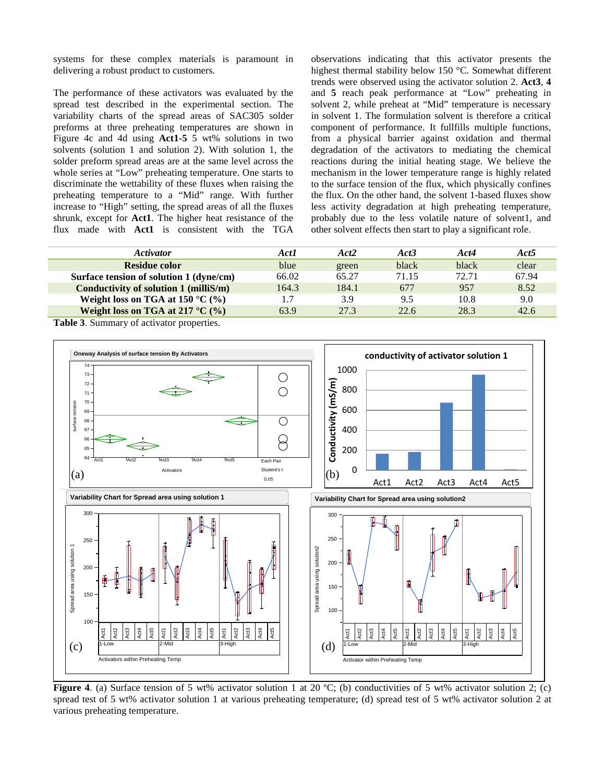systems for these complex materials is paramount in delivering a robust product to customers.

The performance of these activators was evaluated by the spread test described in the experimental section. The variability charts of the spread areas of SAC305 solder preforms at three preheating temperatures are shown in Figure 4c and 4d using **Act1-5** 5 wt% solutions in two solvents (solution 1 and solution 2). With solution 1, the solder preform spread areas are at the same level across the whole series at "Low" preheating temperature. One starts to discriminate the wettability of these fluxes when raising the preheating temperature to a "Mid" range. With further increase to "High" setting, the spread areas of all the fluxes shrunk, except for **Act1**. The higher heat resistance of the flux made with **Act1** is consistent with the TGA observations indicating that this activator presents the highest thermal stability below 150 °C. Somewhat different trends were observed using the activator solution 2. **Act3**, **4** and **5** reach peak performance at "Low" preheating in solvent 2, while preheat at "Mid" temperature is necessary in solvent 1. The formulation solvent is therefore a critical component of performance. It fullfills multiple functions, from a physical barrier against oxidation and thermal degradation of the activators to mediating the chemical reactions during the initial heating stage. We believe the mechanism in the lower temperature range is highly related to the surface tension of the flux, which physically confines the flux. On the other hand, the solvent 1-based fluxes show less activity degradation at high preheating temperature, probably due to the less volatile nature of solvent1, and other solvent effects then start to play a significant role.

| <i><b>Activator</b></i>                    | Act1  | Act <sub>2</sub> | Act3  | Act4  | Act <sub>5</sub> |
|--------------------------------------------|-------|------------------|-------|-------|------------------|
| Residue color                              | blue  | green            | black | black | clear            |
| Surface tension of solution 1 (dyne/cm)    | 66.02 | 65.27            | 71.15 | 72.71 | 67.94            |
| Conductivity of solution 1 (milliS/m)      | 164.3 | 184.1            | 677   | 957   | 8.52             |
| Weight loss on TGA at 150 $^{\circ}$ C (%) |       | 3.9              | 9.5   | 10.8  | 9.0              |
| Weight loss on TGA at 217 $^{\circ}$ C (%) | 63.9  | 27.3             | 22.6  | 28.3  | 42.6             |

**Table 3**. Summary of activator properties.



**Figure 4.** (a) Surface tension of 5 wt% activator solution 1 at 20 °C; (b) conductivities of 5 wt% activator solution 2; (c) spread test of 5 wt% activator solution 1 at various preheating temperature; (d) spread test of 5 wt% activator solution 2 at various preheating temperature.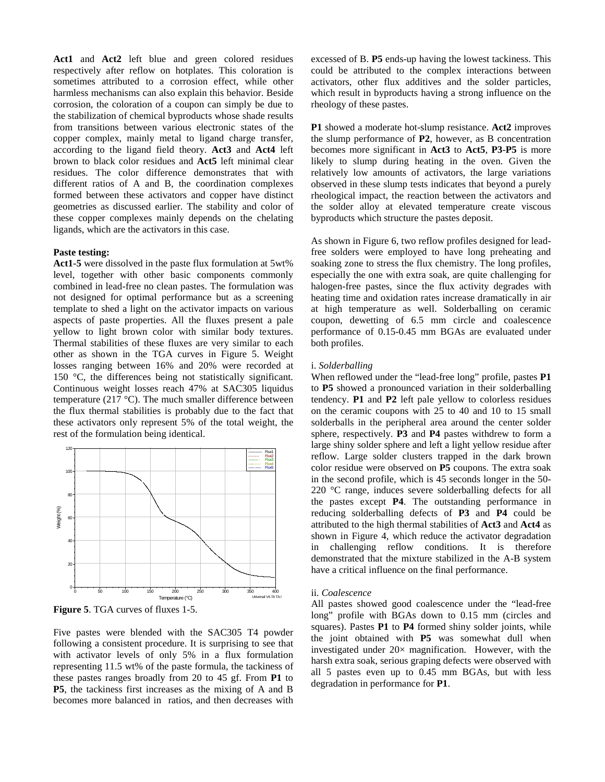**Act1** and **Act2** left blue and green colored residues respectively after reflow on hotplates. This coloration is sometimes attributed to a corrosion effect, while other harmless mechanisms can also explain this behavior. Beside corrosion, the coloration of a coupon can simply be due to the stabilization of chemical byproducts whose shade results from transitions between various electronic states of the copper complex, mainly metal to ligand charge transfer, according to the ligand field theory. **Act3** and **Act4** left brown to black color residues and **Act5** left minimal clear residues. The color difference demonstrates that with different ratios of A and B, the coordination complexes formed between these activators and copper have distinct geometries as discussed earlier. The stability and color of these copper complexes mainly depends on the chelating ligands, which are the activators in this case.

#### **Paste testing:**

**Act1-5** were dissolved in the paste flux formulation at 5wt% level, together with other basic components commonly combined in lead-free no clean pastes. The formulation was not designed for optimal performance but as a screening template to shed a light on the activator impacts on various aspects of paste properties. All the fluxes present a pale yellow to light brown color with similar body textures. Thermal stabilities of these fluxes are very similar to each other as shown in the TGA curves in Figure 5. Weight losses ranging between 16% and 20% were recorded at 150 °C, the differences being not statistically significant. Continuous weight losses reach 47% at SAC305 liquidus temperature (217 °C). The much smaller difference between the flux thermal stabilities is probably due to the fact that these activators only represent 5% of the total weight, the rest of the formulation being identical.



**Figure 5**. TGA curves of fluxes 1-5.

Five pastes were blended with the SAC305 T4 powder following a consistent procedure. It is surprising to see that with activator levels of only 5% in a flux formulation representing 11.5 wt% of the paste formula, the tackiness of these pastes ranges broadly from 20 to 45 gf. From **P1** to **P5**, the tackiness first increases as the mixing of A and B becomes more balanced in ratios, and then decreases with

excessed of B. **P5** ends-up having the lowest tackiness. This could be attributed to the complex interactions between activators, other flux additives and the solder particles, which result in byproducts having a strong influence on the rheology of these pastes.

**P1** showed a moderate hot-slump resistance. **Act2** improves the slump performance of **P2**, however, as B concentration becomes more significant in **Act3** to **Act5**, **P3**-**P5** is more likely to slump during heating in the oven. Given the relatively low amounts of activators, the large variations observed in these slump tests indicates that beyond a purely rheological impact, the reaction between the activators and the solder alloy at elevated temperature create viscous byproducts which structure the pastes deposit.

As shown in Figure 6, two reflow profiles designed for leadfree solders were employed to have long preheating and soaking zone to stress the flux chemistry. The long profiles, especially the one with extra soak, are quite challenging for halogen-free pastes, since the flux activity degrades with heating time and oxidation rates increase dramatically in air at high temperature as well. Solderballing on ceramic coupon, dewetting of 6.5 mm circle and coalescence performance of 0.15-0.45 mm BGAs are evaluated under both profiles.

#### i. *Solderballing*

When reflowed under the "lead-free long" profile, pastes **P1** to **P5** showed a pronounced variation in their solderballing tendency. **P1** and **P2** left pale yellow to colorless residues on the ceramic coupons with 25 to 40 and 10 to 15 small solderballs in the peripheral area around the center solder sphere, respectively. **P3** and **P4** pastes withdrew to form a large shiny solder sphere and left a light yellow residue after reflow. Large solder clusters trapped in the dark brown color residue were observed on **P5** coupons. The extra soak in the second profile, which is 45 seconds longer in the 50- 220 °C range, induces severe solderballing defects for all the pastes except **P4**. The outstanding performance in reducing solderballing defects of **P3** and **P4** could be attributed to the high thermal stabilities of **Act3** and **Act4** as shown in Figure 4, which reduce the activator degradation in challenging reflow conditions. It is therefore demonstrated that the mixture stabilized in the A-B system have a critical influence on the final performance.

#### ii. *Coalescence*

All pastes showed good coalescence under the "lead-free long" profile with BGAs down to 0.15 mm (circles and squares). Pastes **P1** to **P4** formed shiny solder joints, while the joint obtained with **P5** was somewhat dull when investigated under  $20 \times$  magnification. However, with the harsh extra soak, serious graping defects were observed with all 5 pastes even up to 0.45 mm BGAs, but with less degradation in performance for **P1**.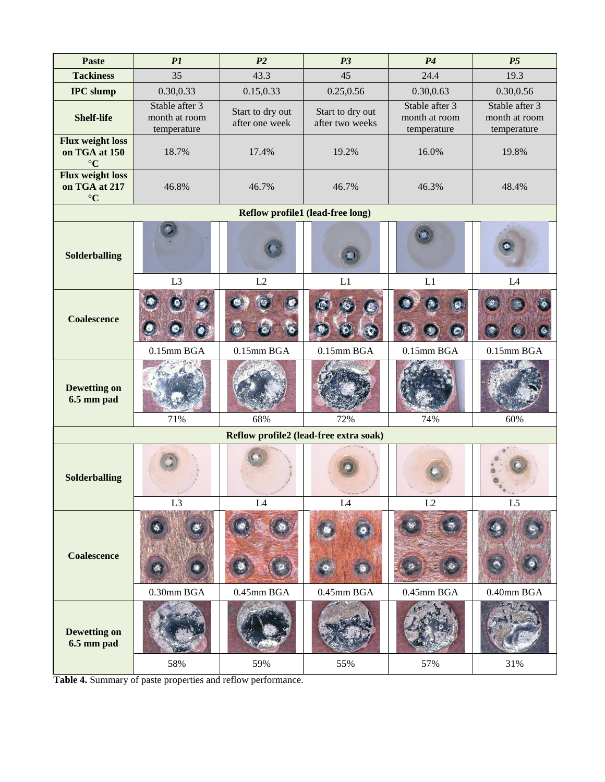| <b>Paste</b>                                                              | PI                                             | P <sub>2</sub>                     | P <sub>3</sub>                      | P4                                             | P <sub>5</sub>                                 |  |  |
|---------------------------------------------------------------------------|------------------------------------------------|------------------------------------|-------------------------------------|------------------------------------------------|------------------------------------------------|--|--|
| <b>Tackiness</b>                                                          | 35                                             | 43.3                               | 45                                  | 24.4                                           | 19.3                                           |  |  |
| <b>IPC</b> slump                                                          | 0.30,0.33                                      | 0.15,0.33                          | 0.25,0.56                           | 0.30,0.63                                      | 0.30,0.56                                      |  |  |
| <b>Shelf-life</b>                                                         | Stable after 3<br>month at room<br>temperature | Start to dry out<br>after one week | Start to dry out<br>after two weeks | Stable after 3<br>month at room<br>temperature | Stable after 3<br>month at room<br>temperature |  |  |
| <b>Flux weight loss</b><br>on TGA at 150<br>$\rm ^{\circ}C$               | 18.7%                                          | 17.4%                              | 19.2%                               | 16.0%                                          | 19.8%                                          |  |  |
| <b>Flux weight loss</b><br>on TGA at 217<br>$\rm ^{\circ}C$               | 46.8%                                          | 46.7%                              | 46.7%                               | 46.3%                                          | 48.4%                                          |  |  |
|                                                                           |                                                |                                    | Reflow profile1 (lead-free long)    |                                                |                                                |  |  |
| Solderballing                                                             |                                                |                                    |                                     |                                                |                                                |  |  |
|                                                                           | L <sub>3</sub>                                 | L2                                 | L1                                  | L1                                             | L4                                             |  |  |
| <b>Coalescence</b>                                                        |                                                |                                    |                                     |                                                |                                                |  |  |
|                                                                           | $0.15$ mm BGA                                  | $0.15$ mm BGA                      | $0.15$ mm BGA                       | $0.15$ mm BGA                                  | $0.15$ mm BGA                                  |  |  |
| <b>Dewetting on</b><br>6.5 mm pad                                         |                                                |                                    |                                     |                                                |                                                |  |  |
| 71%<br>68%<br>72%<br>74%<br>60%<br>Reflow profile2 (lead-free extra soak) |                                                |                                    |                                     |                                                |                                                |  |  |
|                                                                           |                                                |                                    |                                     |                                                |                                                |  |  |
| Solderballing                                                             |                                                |                                    |                                     |                                                |                                                |  |  |
|                                                                           | L <sub>3</sub>                                 | L4                                 | L4                                  | L2                                             | $\mathrm{L}5$                                  |  |  |
| <b>Coalescence</b>                                                        | 0.30mm BGA                                     | $0.45$ mm BGA                      | $0.45$ mm BGA                       | $0.45$ mm BGA                                  | 0.40mm BGA                                     |  |  |
|                                                                           |                                                |                                    |                                     |                                                |                                                |  |  |
| <b>Dewetting on</b><br>6.5 mm pad                                         |                                                |                                    |                                     |                                                |                                                |  |  |
|                                                                           | 58%                                            | 59%                                | 55%                                 | 57%                                            | 31%                                            |  |  |

**Table 4.** Summary of paste properties and reflow performance.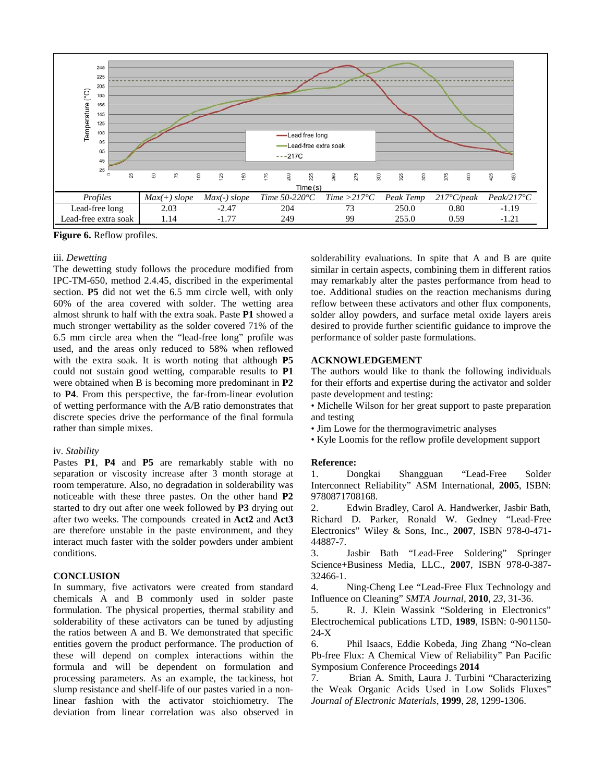

**Figure 6.** Reflow profiles.

#### iii. *Dewetting*

The dewetting study follows the procedure modified from IPC-TM-650, method 2.4.45, discribed in the experimental section. **P5** did not wet the 6.5 mm circle well, with only 60% of the area covered with solder. The wetting area almost shrunk to half with the extra soak. Paste **P1** showed a much stronger wettability as the solder covered 71% of the 6.5 mm circle area when the "lead-free long" profile was used, and the areas only reduced to 58% when reflowed with the extra soak. It is worth noting that although **P5** could not sustain good wetting, comparable results to **P1** were obtained when B is becoming more predominant in **P2** to **P4**. From this perspective, the far-from-linear evolution of wetting performance with the A/B ratio demonstrates that discrete species drive the performance of the final formula rather than simple mixes.

#### iv. *Stability*

Pastes **P1**, **P4** and **P5** are remarkably stable with no separation or viscosity increase after 3 month storage at room temperature. Also, no degradation in solderability was noticeable with these three pastes. On the other hand **P2** started to dry out after one week followed by **P3** drying out after two weeks. The compounds created in **Act2** and **Act3** are therefore unstable in the paste environment, and they interact much faster with the solder powders under ambient conditions.

## **CONCLUSION**

In summary, five activators were created from standard chemicals A and B commonly used in solder paste formulation. The physical properties, thermal stability and solderability of these activators can be tuned by adjusting the ratios between A and B. We demonstrated that specific entities govern the product performance. The production of these will depend on complex interactions within the formula and will be dependent on formulation and processing parameters. As an example, the tackiness, hot slump resistance and shelf-life of our pastes varied in a nonlinear fashion with the activator stoichiometry. The deviation from linear correlation was also observed in solderability evaluations. In spite that A and B are quite similar in certain aspects, combining them in different ratios may remarkably alter the pastes performance from head to toe. Additional studies on the reaction mechanisms during reflow between these activators and other flux components, solder alloy powders, and surface metal oxide layers areis desired to provide further scientific guidance to improve the performance of solder paste formulations.

## **ACKNOWLEDGEMENT**

The authors would like to thank the following individuals for their efforts and expertise during the activator and solder paste development and testing:

• Michelle Wilson for her great support to paste preparation and testing

- Jim Lowe for the thermogravimetric analyses
- Kyle Loomis for the reflow profile development support

## **Reference:**

1. Dongkai Shangguan "Lead-Free Solder Interconnect Reliability" ASM International, **2005**, ISBN: 9780871708168.

2. Edwin Bradley, Carol A. Handwerker, Jasbir Bath, Richard D. Parker, Ronald W. Gedney "Lead-Free Electronics" Wiley & Sons, Inc., **2007**, ISBN 978-0-471- 44887-7.

3. Jasbir Bath "Lead-Free Soldering" Springer Science+Business Media, LLC., **2007**, ISBN 978-0-387- 32466-1.

4. Ning-Cheng Lee "Lead-Free Flux Technology and Influence on Cleaning" *SMTA Journal,* **2010**, *23*, 31-36.

5. R. J. Klein Wassink "Soldering in Electronics" Electrochemical publications LTD, **1989**, ISBN: 0-901150- 24-X

6. Phil Isaacs, Eddie Kobeda, Jing Zhang "No-clean Pb-free Flux: A Chemical View of Reliability" Pan Pacific Symposium Conference Proceedings **2014**

7. Brian A. Smith, Laura J. Turbini "Characterizing the Weak Organic Acids Used in Low Solids Fluxes" *Journal of Electronic Materials*, **1999**, *28*, 1299-1306.